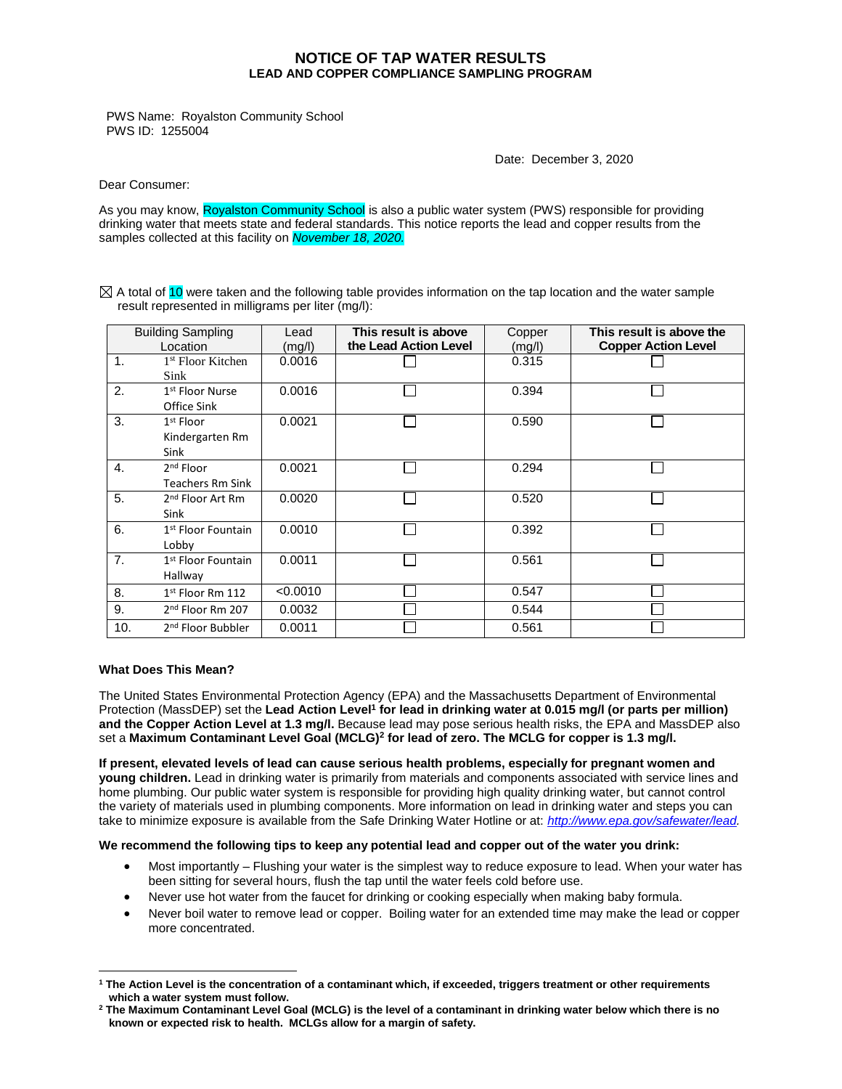## **NOTICE OF TAP WATER RESULTS LEAD AND COPPER COMPLIANCE SAMPLING PROGRAM**

PWS Name: Royalston Community School PWS ID: 1255004

Date: December 3, 2020

Dear Consumer:

As you may know, Royalston Community School is also a public water system (PWS) responsible for providing drinking water that meets state and federal standards. This notice reports the lead and copper results from the samples collected at this facility on *November 18, 2020.*

 $\boxtimes$  A total of 10 were taken and the following table provides information on the tap location and the water sample result represented in milligrams per liter (mg/l):

| <b>Building Sampling</b><br>Location |                                                  | Lead<br>(mg/l) | This result is above<br>the Lead Action Level | Copper<br>(mg/l) | This result is above the<br><b>Copper Action Level</b> |
|--------------------------------------|--------------------------------------------------|----------------|-----------------------------------------------|------------------|--------------------------------------------------------|
| $\mathbf{1}$ .                       | <sup>1st</sup> Floor Kitchen<br>Sink             | 0.0016         |                                               | 0.315            |                                                        |
| 2.                                   | 1 <sup>st</sup> Floor Nurse<br>Office Sink       | 0.0016         |                                               | 0.394            |                                                        |
| 3.                                   | 1 <sup>st</sup> Floor<br>Kindergarten Rm<br>Sink | 0.0021         |                                               | 0.590            |                                                        |
| $\mathbf{4}$ .                       | $2nd$ Floor<br><b>Teachers Rm Sink</b>           | 0.0021         |                                               | 0.294            |                                                        |
| 5.                                   | 2 <sup>nd</sup> Floor Art Rm<br>Sink             | 0.0020         |                                               | 0.520            |                                                        |
| 6.                                   | 1 <sup>st</sup> Floor Fountain<br>Lobby          | 0.0010         |                                               | 0.392            |                                                        |
| 7.                                   | 1 <sup>st</sup> Floor Fountain<br>Hallway        | 0.0011         |                                               | 0.561            |                                                        |
| 8.                                   | $1st$ Floor Rm 112                               | < 0.0010       |                                               | 0.547            |                                                        |
| 9.                                   | 2 <sup>nd</sup> Floor Rm 207                     | 0.0032         |                                               | 0.544            |                                                        |
| 10.                                  | 2 <sup>nd</sup> Floor Bubbler                    | 0.0011         |                                               | 0.561            |                                                        |

## **What Does This Mean?**

 $\overline{a}$ 

The United States Environmental Protection Agency (EPA) and the Massachusetts Department of Environmental Protection (MassDEP) set the **Lead Action Level<sup>1</sup> for lead in drinking water at 0.015 mg/l (or parts per million) and the Copper Action Level at 1.3 mg/l.** Because lead may pose serious health risks, the EPA and MassDEP also set a **Maximum Contaminant Level Goal (MCLG)<sup>2</sup> for lead of zero. The MCLG for copper is 1.3 mg/l.**

**If present, elevated levels of lead can cause serious health problems, especially for pregnant women and young children.** Lead in drinking water is primarily from materials and components associated with service lines and home plumbing. Our public water system is responsible for providing high quality drinking water, but cannot control the variety of materials used in plumbing components. More information on lead in drinking water and steps you can take to minimize exposure is available from the Safe Drinking Water Hotline or at: *[http://www.epa.gov/safewater/lead.](http://www.epa.gov/safewater/lead)*

## **We recommend the following tips to keep any potential lead and copper out of the water you drink:**

- Most importantly Flushing your water is the simplest way to reduce exposure to lead. When your water has been sitting for several hours, flush the tap until the water feels cold before use.
- Never use hot water from the faucet for drinking or cooking especially when making baby formula.
- Never boil water to remove lead or copper. Boiling water for an extended time may make the lead or copper more concentrated.

**<sup>1</sup> The Action Level is the concentration of a contaminant which, if exceeded, triggers treatment or other requirements which a water system must follow.**

**<sup>2</sup> The Maximum Contaminant Level Goal (MCLG) is the level of a contaminant in drinking water below which there is no known or expected risk to health. MCLGs allow for a margin of safety.**